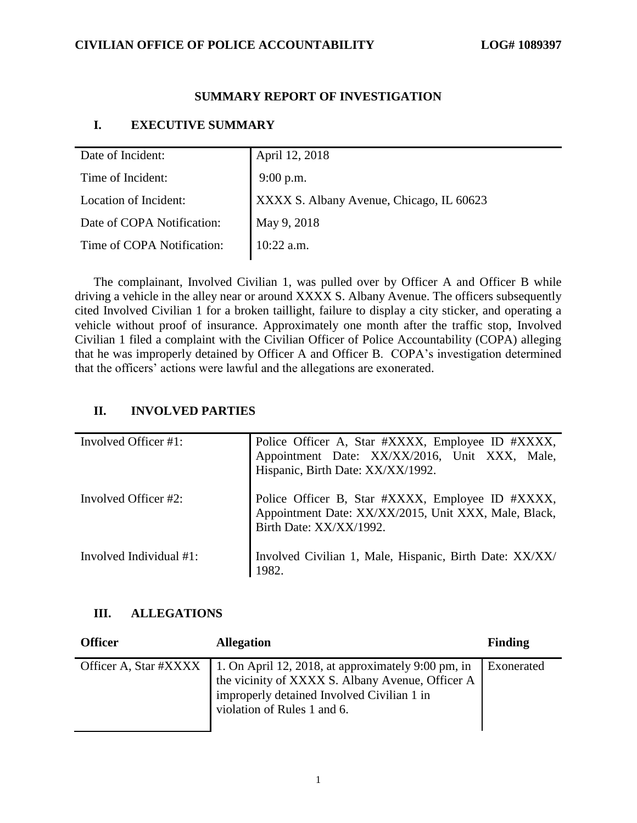## **SUMMARY REPORT OF INVESTIGATION**

## **I. EXECUTIVE SUMMARY**

| Date of Incident:          | April 12, 2018                           |
|----------------------------|------------------------------------------|
| Time of Incident:          | $9:00$ p.m.                              |
| Location of Incident:      | XXXX S. Albany Avenue, Chicago, IL 60623 |
| Date of COPA Notification: | May 9, 2018                              |
| Time of COPA Notification: | $10:22$ a.m.                             |

The complainant, Involved Civilian 1, was pulled over by Officer A and Officer B while driving a vehicle in the alley near or around XXXX S. Albany Avenue. The officers subsequently cited Involved Civilian 1 for a broken taillight, failure to display a city sticker, and operating a vehicle without proof of insurance. Approximately one month after the traffic stop, Involved Civilian 1 filed a complaint with the Civilian Officer of Police Accountability (COPA) alleging that he was improperly detained by Officer A and Officer B. COPA's investigation determined that the officers' actions were lawful and the allegations are exonerated.

## **II. INVOLVED PARTIES**

| Involved Officer #1:    | Police Officer A, Star #XXXX, Employee ID #XXXX,<br>Appointment Date: XX/XX/2016, Unit XXX, Male,<br>Hispanic, Birth Date: XX/XX/1992. |
|-------------------------|----------------------------------------------------------------------------------------------------------------------------------------|
| Involved Officer #2:    | Police Officer B, Star #XXXX, Employee ID #XXXX, Appointment Date: XX/XX/2015, Unit XXX, Male, Black,<br>Birth Date: XX/XX/1992.       |
| Involved Individual #1: | Involved Civilian 1, Male, Hispanic, Birth Date: XX/XX/<br>1982.                                                                       |

## **III. ALLEGATIONS**

| <b>Officer</b> | <b>Allegation</b>                                                                                                                                                                                           | <b>Finding</b> |
|----------------|-------------------------------------------------------------------------------------------------------------------------------------------------------------------------------------------------------------|----------------|
|                | Officer A, Star #XXXX   1. On April 12, 2018, at approximately 9:00 pm, in<br>the vicinity of XXXX S. Albany Avenue, Officer A<br>improperly detained Involved Civilian 1 in<br>violation of Rules 1 and 6. | Exonerated     |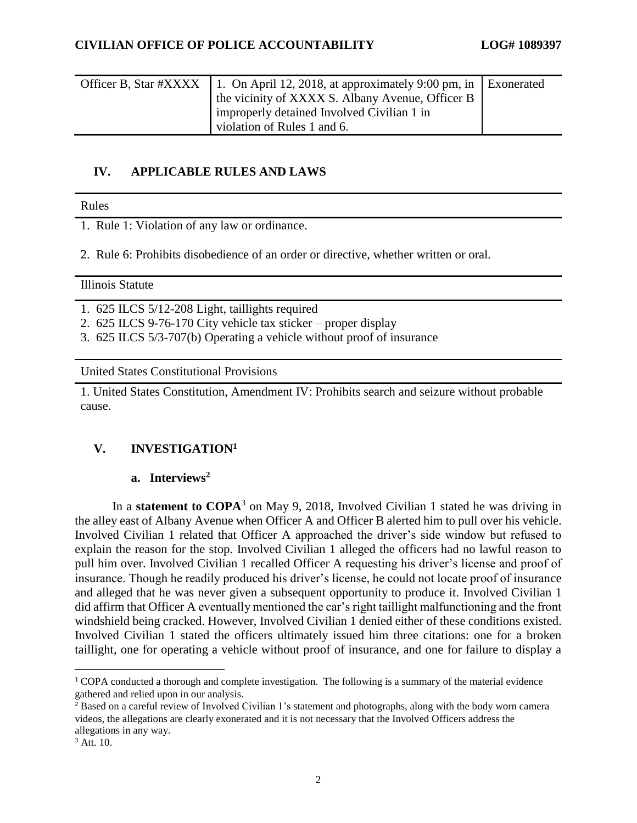| Officer B, Star #XXXX   1. On April 12, 2018, at approximately 9:00 pm, in   Exonerated<br>the vicinity of XXXX S. Albany Avenue, Officer B |  |
|---------------------------------------------------------------------------------------------------------------------------------------------|--|
| improperly detained Involved Civilian 1 in<br>violation of Rules 1 and 6.                                                                   |  |

# **IV. APPLICABLE RULES AND LAWS**

Rules

- 1. Rule 1: Violation of any law or ordinance.
- 2. Rule 6: Prohibits disobedience of an order or directive, whether written or oral.

#### Illinois Statute

1. 625 ILCS 5/12-208 Light, taillights required

- 2. 625 ILCS 9-76-170 City vehicle tax sticker proper display
- 3. 625 ILCS 5/3-707(b) Operating a vehicle without proof of insurance

United States Constitutional Provisions

1. United States Constitution, Amendment IV: Prohibits search and seizure without probable cause.

## **V. INVESTIGATION<sup>1</sup>**

## **a. Interviews<sup>2</sup>**

In a **statement to COPA**<sup>3</sup> on May 9, 2018, Involved Civilian 1 stated he was driving in the alley east of Albany Avenue when Officer A and Officer B alerted him to pull over his vehicle. Involved Civilian 1 related that Officer A approached the driver's side window but refused to explain the reason for the stop. Involved Civilian 1 alleged the officers had no lawful reason to pull him over. Involved Civilian 1 recalled Officer A requesting his driver's license and proof of insurance. Though he readily produced his driver's license, he could not locate proof of insurance and alleged that he was never given a subsequent opportunity to produce it. Involved Civilian 1 did affirm that Officer A eventually mentioned the car's right taillight malfunctioning and the front windshield being cracked. However, Involved Civilian 1 denied either of these conditions existed. Involved Civilian 1 stated the officers ultimately issued him three citations: one for a broken taillight, one for operating a vehicle without proof of insurance, and one for failure to display a

 $\overline{\phantom{a}}$ 

<sup>&</sup>lt;sup>1</sup> COPA conducted a thorough and complete investigation. The following is a summary of the material evidence gathered and relied upon in our analysis.

<sup>&</sup>lt;sup>2</sup> Based on a careful review of Involved Civilian 1's statement and photographs, along with the body worn camera videos, the allegations are clearly exonerated and it is not necessary that the Involved Officers address the allegations in any way.

<sup>3</sup> Att. 10.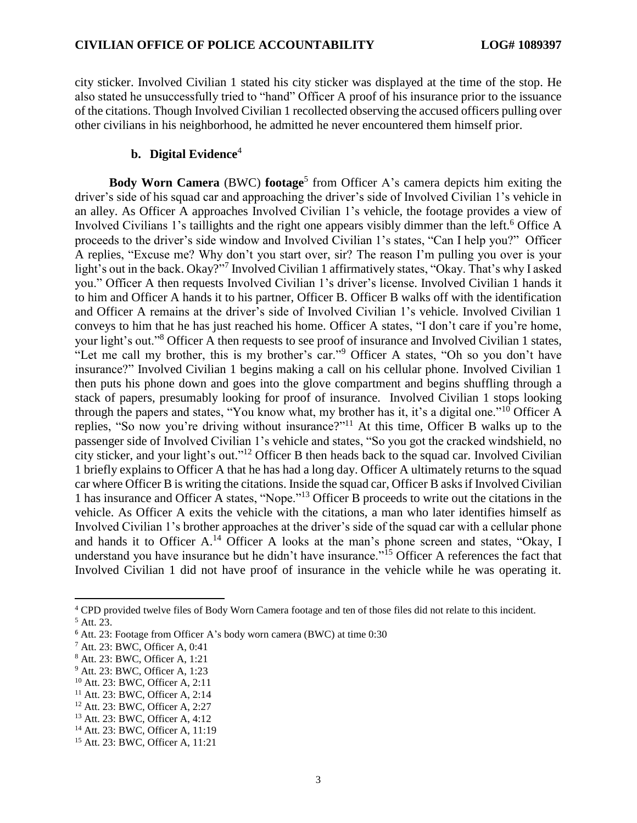city sticker. Involved Civilian 1 stated his city sticker was displayed at the time of the stop. He also stated he unsuccessfully tried to "hand" Officer A proof of his insurance prior to the issuance of the citations. Though Involved Civilian 1 recollected observing the accused officers pulling over other civilians in his neighborhood, he admitted he never encountered them himself prior.

#### **b. Digital Evidence**<sup>4</sup>

**Body Worn Camera** (BWC) **footage**<sup>5</sup> from Officer A's camera depicts him exiting the driver's side of his squad car and approaching the driver's side of Involved Civilian 1's vehicle in an alley. As Officer A approaches Involved Civilian 1's vehicle, the footage provides a view of Involved Civilians 1's taillights and the right one appears visibly dimmer than the left.<sup>6</sup> Office A proceeds to the driver's side window and Involved Civilian 1's states, "Can I help you?" Officer A replies, "Excuse me? Why don't you start over, sir? The reason I'm pulling you over is your light's out in the back. Okay?"<sup>7</sup> Involved Civilian 1 affirmatively states, "Okay. That's why I asked you." Officer A then requests Involved Civilian 1's driver's license. Involved Civilian 1 hands it to him and Officer A hands it to his partner, Officer B. Officer B walks off with the identification and Officer A remains at the driver's side of Involved Civilian 1's vehicle. Involved Civilian 1 conveys to him that he has just reached his home. Officer A states, "I don't care if you're home, your light's out."<sup>8</sup> Officer A then requests to see proof of insurance and Involved Civilian 1 states, "Let me call my brother, this is my brother's car."<sup>9</sup> Officer A states, "Oh so you don't have insurance?" Involved Civilian 1 begins making a call on his cellular phone. Involved Civilian 1 then puts his phone down and goes into the glove compartment and begins shuffling through a stack of papers, presumably looking for proof of insurance. Involved Civilian 1 stops looking through the papers and states, "You know what, my brother has it, it's a digital one."<sup>10</sup> Officer A replies, "So now you're driving without insurance?"<sup>11</sup> At this time, Officer B walks up to the passenger side of Involved Civilian 1's vehicle and states, "So you got the cracked windshield, no city sticker, and your light's out." <sup>12</sup> Officer B then heads back to the squad car. Involved Civilian 1 briefly explains to Officer A that he has had a long day. Officer A ultimately returns to the squad car where Officer B is writing the citations. Inside the squad car, Officer B asks if Involved Civilian 1 has insurance and Officer A states, "Nope."<sup>13</sup> Officer B proceeds to write out the citations in the vehicle. As Officer A exits the vehicle with the citations, a man who later identifies himself as Involved Civilian 1's brother approaches at the driver's side of the squad car with a cellular phone and hands it to Officer A.<sup>14</sup> Officer A looks at the man's phone screen and states, "Okay, I understand you have insurance but he didn't have insurance."<sup>15</sup> Officer A references the fact that Involved Civilian 1 did not have proof of insurance in the vehicle while he was operating it.

 $\overline{\phantom{a}}$ 

<sup>10</sup> Att. 23: BWC, Officer A, 2:11

<sup>4</sup> CPD provided twelve files of Body Worn Camera footage and ten of those files did not relate to this incident.

<sup>5</sup> Att. 23.

<sup>6</sup> Att. 23: Footage from Officer A's body worn camera (BWC) at time 0:30

<sup>7</sup> Att. 23: BWC, Officer A, 0:41

<sup>8</sup> Att. 23: BWC, Officer A, 1:21

<sup>9</sup> Att. 23: BWC, Officer A, 1:23

<sup>11</sup> Att. 23: BWC, Officer A, 2:14

<sup>12</sup> Att. 23: BWC, Officer A, 2:27

<sup>13</sup> Att. 23: BWC, Officer A, 4:12

<sup>14</sup> Att. 23: BWC, Officer A, 11:19

<sup>15</sup> Att. 23: BWC, Officer A, 11:21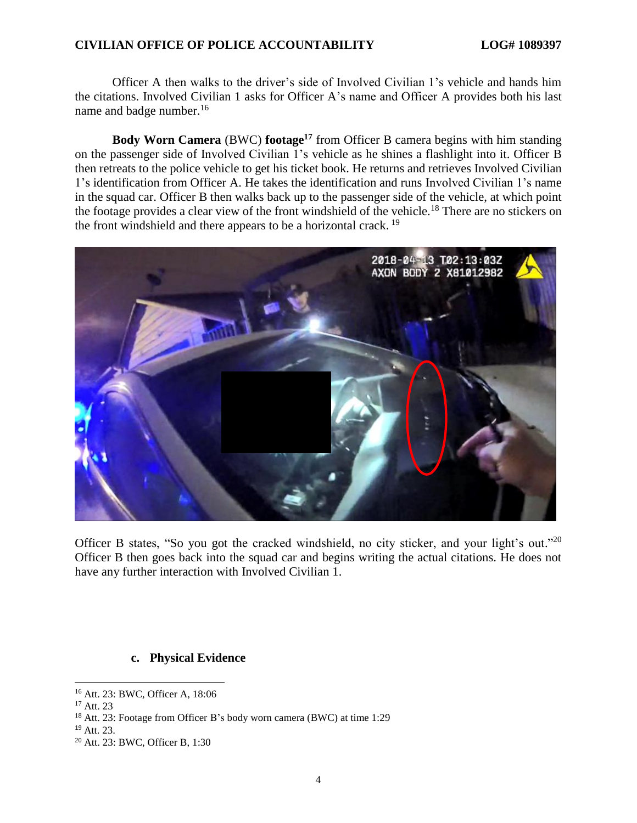## **CIVILIAN OFFICE OF POLICE ACCOUNTABILITY LOG# 1089397**

Officer A then walks to the driver's side of Involved Civilian 1's vehicle and hands him the citations. Involved Civilian 1 asks for Officer A's name and Officer A provides both his last name and badge number.<sup>16</sup>

**Body Worn Camera** (BWC) **footage<sup>17</sup>** from Officer B camera begins with him standing on the passenger side of Involved Civilian 1's vehicle as he shines a flashlight into it. Officer B then retreats to the police vehicle to get his ticket book. He returns and retrieves Involved Civilian 1's identification from Officer A. He takes the identification and runs Involved Civilian 1's name in the squad car. Officer B then walks back up to the passenger side of the vehicle, at which point the footage provides a clear view of the front windshield of the vehicle.<sup>18</sup> There are no stickers on the front windshield and there appears to be a horizontal crack. <sup>19</sup>



Officer B states, "So you got the cracked windshield, no city sticker, and your light's out."<sup>20</sup> Officer B then goes back into the squad car and begins writing the actual citations. He does not have any further interaction with Involved Civilian 1.

## **c. Physical Evidence**

l

<sup>16</sup> Att. 23: BWC, Officer A, 18:06

<sup>17</sup> Att. 23

<sup>18</sup> Att. 23: Footage from Officer B's body worn camera (BWC) at time 1:29

<sup>19</sup> Att. 23.

<sup>20</sup> Att. 23: BWC, Officer B, 1:30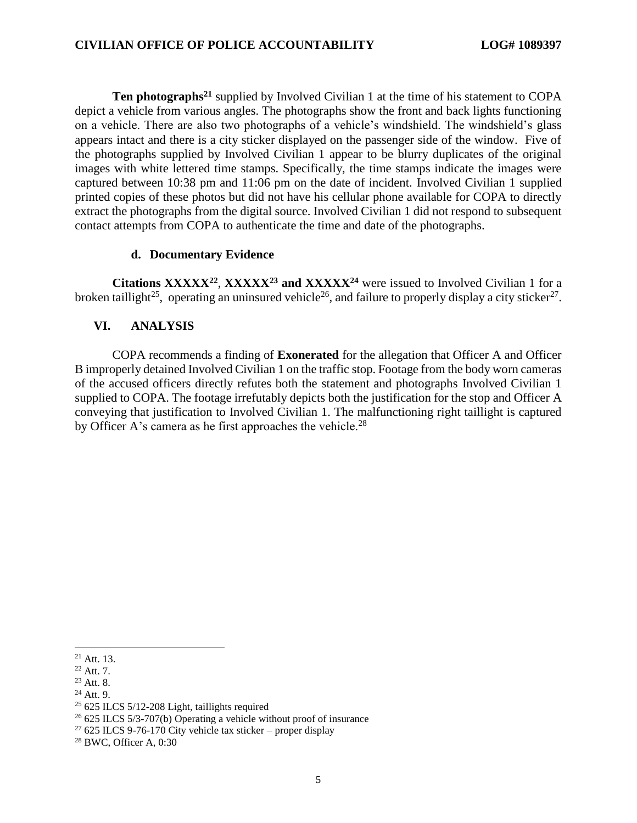**Ten photographs<sup>21</sup>** supplied by Involved Civilian 1 at the time of his statement to COPA depict a vehicle from various angles. The photographs show the front and back lights functioning on a vehicle. There are also two photographs of a vehicle's windshield. The windshield's glass appears intact and there is a city sticker displayed on the passenger side of the window. Five of the photographs supplied by Involved Civilian 1 appear to be blurry duplicates of the original images with white lettered time stamps. Specifically, the time stamps indicate the images were captured between 10:38 pm and 11:06 pm on the date of incident. Involved Civilian 1 supplied printed copies of these photos but did not have his cellular phone available for COPA to directly extract the photographs from the digital source. Involved Civilian 1 did not respond to subsequent contact attempts from COPA to authenticate the time and date of the photographs.

#### **d. Documentary Evidence**

**Citations XXXXX<sup>22</sup>** , **XXXXX<sup>23</sup> and XXXXX<sup>24</sup>** were issued to Involved Civilian 1 for a broken taillight<sup>25</sup>, operating an uninsured vehicle<sup>26</sup>, and failure to properly display a city sticker<sup>27</sup>.

## **VI. ANALYSIS**

COPA recommends a finding of **Exonerated** for the allegation that Officer A and Officer B improperly detained Involved Civilian 1 on the traffic stop. Footage from the body worn cameras of the accused officers directly refutes both the statement and photographs Involved Civilian 1 supplied to COPA. The footage irrefutably depicts both the justification for the stop and Officer A conveying that justification to Involved Civilian 1. The malfunctioning right taillight is captured by Officer A's camera as he first approaches the vehicle.<sup>28</sup>

 $\overline{a}$  $21$  Att. 13.

 $22$  Att. 7.

<sup>23</sup> Att. 8.

<sup>24</sup> Att. 9.

 $25$  625 ILCS 5/12-208 Light, taillights required

 $26$  625 ILCS 5/3-707(b) Operating a vehicle without proof of insurance

 $27625$  ILCS 9-76-170 City vehicle tax sticker – proper display

<sup>28</sup> BWC, Officer A, 0:30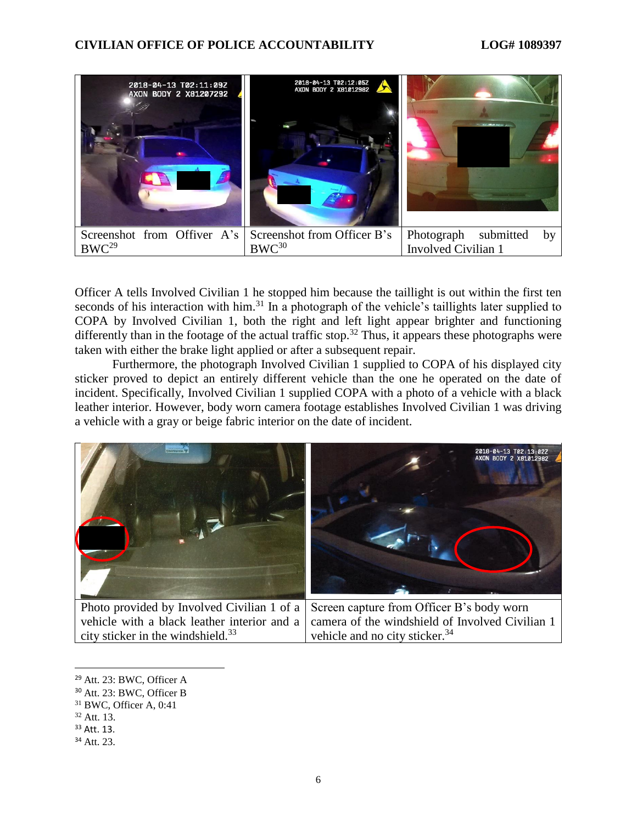

Officer A tells Involved Civilian 1 he stopped him because the taillight is out within the first ten seconds of his interaction with him.<sup>31</sup> In a photograph of the vehicle's taillights later supplied to COPA by Involved Civilian 1, both the right and left light appear brighter and functioning differently than in the footage of the actual traffic stop.<sup>32</sup> Thus, it appears these photographs were taken with either the brake light applied or after a subsequent repair.

Furthermore, the photograph Involved Civilian 1 supplied to COPA of his displayed city sticker proved to depict an entirely different vehicle than the one he operated on the date of incident. Specifically, Involved Civilian 1 supplied COPA with a photo of a vehicle with a black leather interior. However, body worn camera footage establishes Involved Civilian 1 was driving a vehicle with a gray or beige fabric interior on the date of incident.



Photo provided by Involved Civilian 1 of a vehicle with a black leather interior and a city sticker in the windshield.<sup>33</sup> Screen capture from Officer B's body worn camera of the windshield of Involved Civilian 1 vehicle and no city sticker.<sup>34</sup>

 $\overline{\phantom{a}}$ 

<sup>29</sup> Att. 23: BWC, Officer A

<sup>30</sup> Att. 23: BWC, Officer B

<sup>31</sup> BWC, Officer A, 0:41

 $32$  Att. 13.

<sup>33</sup> Att. 13.

<sup>34</sup> Att. 23.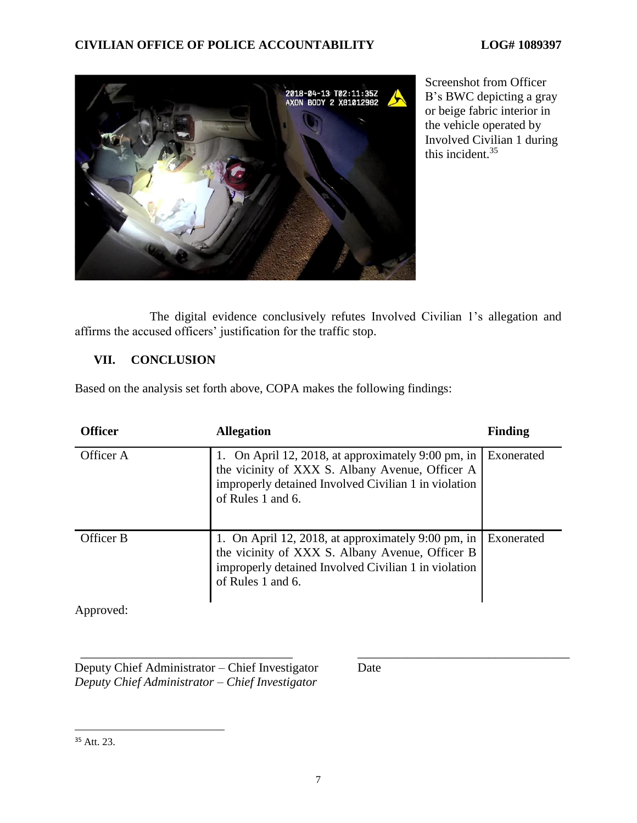# **CIVILIAN OFFICE OF POLICE ACCOUNTABILITY LOG# 1089397**



Screenshot from Officer B's BWC depicting a gray or beige fabric interior in the vehicle operated by Involved Civilian 1 during this incident.<sup>35</sup>

The digital evidence conclusively refutes Involved Civilian 1's allegation and affirms the accused officers' justification for the traffic stop.

# **VII. CONCLUSION**

Based on the analysis set forth above, COPA makes the following findings:

| <b>Officer</b> | <b>Allegation</b>                                                                                                                                                                    | <b>Finding</b> |
|----------------|--------------------------------------------------------------------------------------------------------------------------------------------------------------------------------------|----------------|
| Officer A      | 1. On April 12, 2018, at approximately $9:00$ pm, in<br>the vicinity of XXX S. Albany Avenue, Officer A<br>improperly detained Involved Civilian 1 in violation<br>of Rules 1 and 6. | Exonerated     |
| Officer B      | 1. On April 12, 2018, at approximately 9:00 pm, in<br>the vicinity of XXX S. Albany Avenue, Officer B<br>improperly detained Involved Civilian 1 in violation<br>of Rules 1 and 6.   | Exonerated     |
| Approved:      |                                                                                                                                                                                      |                |

\_\_\_\_\_\_\_\_\_\_\_\_\_\_\_\_\_\_\_\_\_\_\_\_\_\_\_\_\_\_\_\_\_\_ \_\_\_\_\_\_\_\_\_\_\_\_\_\_\_\_\_\_\_\_\_\_\_\_\_\_\_\_\_\_\_\_\_\_ Deputy Chief Administrator – Chief Investigator *Deputy Chief Administrator – Chief Investigator*

Date

 $\overline{a}$ 

<sup>35</sup> Att. 23.